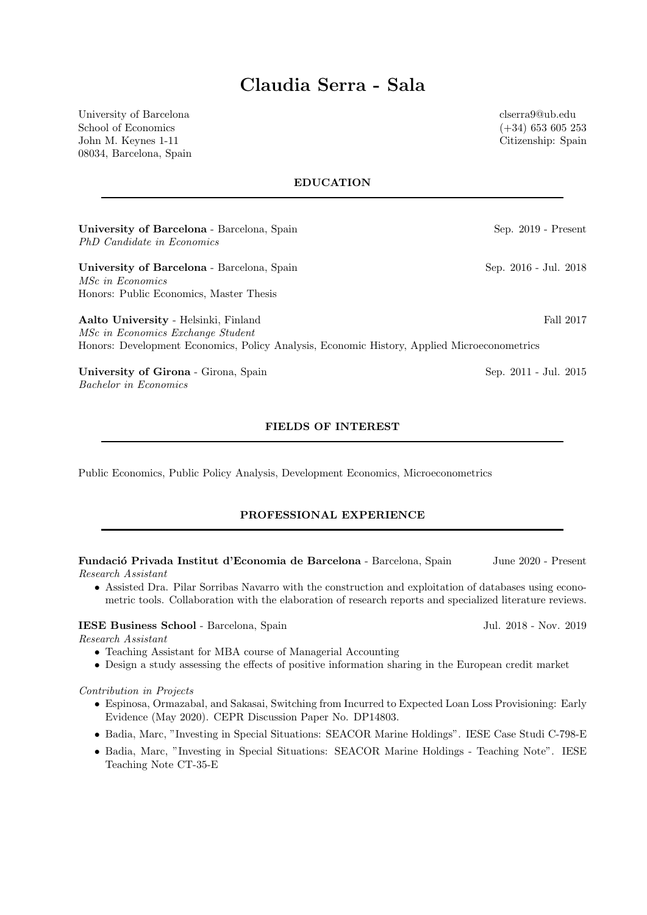# Claudia Serra - Sala

University of Barcelona School of Economics John M. Keynes 1-11 08034, Barcelona, Spain clserra9@ub.edu (+34) 653 605 253 Citizenship: Spain

EDUCATION

| University of Barcelona - Barcelona, Spain<br>PhD Candidate in Economics                    | $Sep. 2019$ - $Present$ |
|---------------------------------------------------------------------------------------------|-------------------------|
| University of Barcelona - Barcelona, Spain<br><i>MSc in Economics</i>                       | Sep. 2016 - Jul. 2018   |
| Honors: Public Economics, Master Thesis                                                     |                         |
| Aalto University - Helsinki, Finland<br>MSc in Economics Exchange Student                   | Fall 2017               |
| Honors: Development Economics, Policy Analysis, Economic History, Applied Microeconometrics |                         |
| University of Girona - Girona, Spain<br><i>Bachelor in Economics</i>                        | Sep. 2011 - Jul. 2015   |

## FIELDS OF INTEREST

Public Economics, Public Policy Analysis, Development Economics, Microeconometrics

## PROFESSIONAL EXPERIENCE

Fundació Privada Institut d'Economia de Barcelona - Barcelona, Spain June 2020 - Present Research Assistant

• Assisted Dra. Pilar Sorribas Navarro with the construction and exploitation of databases using econometric tools. Collaboration with the elaboration of research reports and specialized literature reviews.

## IESE Business School - Barcelona, Spain Jul. 2018 - Nov. 2019

Research Assistant

- Teaching Assistant for MBA course of Managerial Accounting
- Design a study assessing the effects of positive information sharing in the European credit market

#### Contribution in Projects

- Espinosa, Ormazabal, and Sakasai, Switching from Incurred to Expected Loan Loss Provisioning: Early Evidence (May 2020). CEPR Discussion Paper No. DP14803.
- Badia, Marc, "Investing in Special Situations: SEACOR Marine Holdings". IESE Case Studi C-798-E
- Badia, Marc, "Investing in Special Situations: SEACOR Marine Holdings Teaching Note". IESE Teaching Note CT-35-E